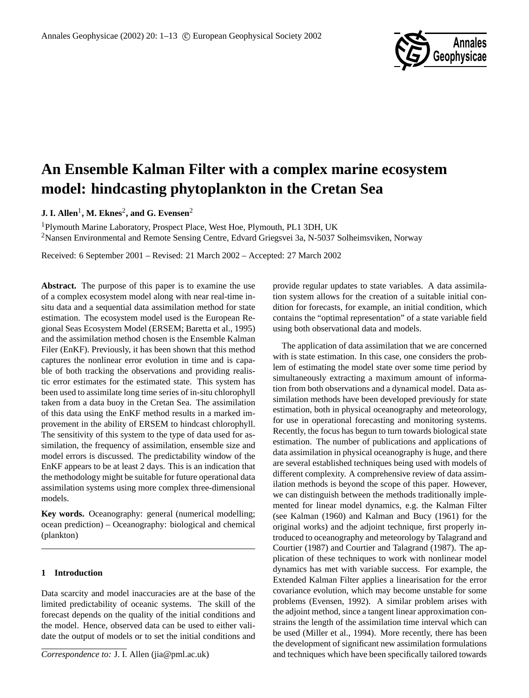

# **An Ensemble Kalman Filter with a complex marine ecosystem model: hindcasting phytoplankton in the Cretan Sea**

**J. I. Allen<sup>1</sup>, M. Eknes<sup>2</sup>, and G. Evensen<sup>2</sup>** 

<sup>1</sup>Plymouth Marine Laboratory, Prospect Place, West Hoe, Plymouth, PL1 3DH, UK <sup>2</sup>Nansen Environmental and Remote Sensing Centre, Edvard Griegsvei 3a, N-5037 Solheimsviken, Norway

Received: 6 September 2001 – Revised: 21 March 2002 – Accepted: 27 March 2002

**Abstract.** The purpose of this paper is to examine the use of a complex ecosystem model along with near real-time insitu data and a sequential data assimilation method for state estimation. The ecosystem model used is the European Regional Seas Ecosystem Model (ERSEM; Baretta et al., 1995) and the assimilation method chosen is the Ensemble Kalman Filer (EnKF). Previously, it has been shown that this method captures the nonlinear error evolution in time and is capable of both tracking the observations and providing realistic error estimates for the estimated state. This system has been used to assimilate long time series of in-situ chlorophyll taken from a data buoy in the Cretan Sea. The assimilation of this data using the EnKF method results in a marked improvement in the ability of ERSEM to hindcast chlorophyll. The sensitivity of this system to the type of data used for assimilation, the frequency of assimilation, ensemble size and model errors is discussed. The predictability window of the EnKF appears to be at least 2 days. This is an indication that the methodology might be suitable for future operational data assimilation systems using more complex three-dimensional models.

**Key words.** Oceanography: general (numerical modelling; ocean prediction) – Oceanography: biological and chemical (plankton)

## **1 Introduction**

Data scarcity and model inaccuracies are at the base of the limited predictability of oceanic systems. The skill of the forecast depends on the quality of the initial conditions and the model. Hence, observed data can be used to either validate the output of models or to set the initial conditions and

*Correspondence to:* J. I. Allen (jia@pml.ac.uk)

provide regular updates to state variables. A data assimilation system allows for the creation of a suitable initial condition for forecasts, for example, an initial condition, which contains the "optimal representation" of a state variable field using both observational data and models.

The application of data assimilation that we are concerned with is state estimation. In this case, one considers the problem of estimating the model state over some time period by simultaneously extracting a maximum amount of information from both observations and a dynamical model. Data assimilation methods have been developed previously for state estimation, both in physical oceanography and meteorology, for use in operational forecasting and monitoring systems. Recently, the focus has begun to turn towards biological state estimation. The number of publications and applications of data assimilation in physical oceanography is huge, and there are several established techniques being used with models of different complexity. A comprehensive review of data assimilation methods is beyond the scope of this paper. However, we can distinguish between the methods traditionally implemented for linear model dynamics, e.g. the Kalman Filter (see Kalman (1960) and Kalman and Bucy (1961) for the original works) and the adjoint technique, first properly introduced to oceanography and meteorology by Talagrand and Courtier (1987) and Courtier and Talagrand (1987). The application of these techniques to work with nonlinear model dynamics has met with variable success. For example, the Extended Kalman Filter applies a linearisation for the error covariance evolution, which may become unstable for some problems (Evensen, 1992). A similar problem arises with the adjoint method, since a tangent linear approximation constrains the length of the assimilation time interval which can be used (Miller et al., 1994). More recently, there has been the development of significant new assimilation formulations and techniques which have been specifically tailored towards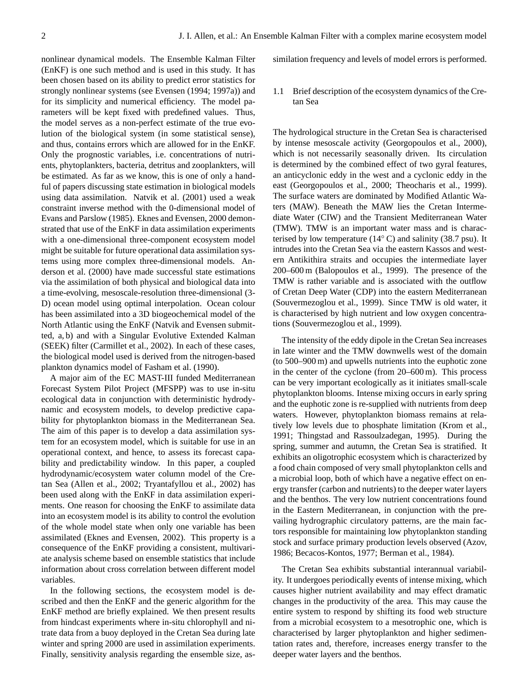nonlinear dynamical models. The Ensemble Kalman Filter (EnKF) is one such method and is used in this study. It has been chosen based on its ability to predict error statistics for strongly nonlinear systems (see Evensen (1994; 1997a)) and for its simplicity and numerical efficiency. The model parameters will be kept fixed with predefined values. Thus, the model serves as a non-perfect estimate of the true evolution of the biological system (in some statistical sense), and thus, contains errors which are allowed for in the EnKF. Only the prognostic variables, i.e. concentrations of nutrients, phytoplankters, bacteria, detritus and zooplankters, will be estimated. As far as we know, this is one of only a handful of papers discussing state estimation in biological models using data assimilation. Natvik et al. (2001) used a weak constraint inverse method with the 0-dimensional model of Evans and Parslow (1985). Eknes and Evensen, 2000 demonstrated that use of the EnKF in data assimilation experiments with a one-dimensional three-component ecosystem model might be suitable for future operational data assimilation systems using more complex three-dimensional models. Anderson et al. (2000) have made successful state estimations via the assimilation of both physical and biological data into a time-evolving, mesoscale-resolution three-dimensional (3- D) ocean model using optimal interpolation. Ocean colour has been assimilated into a 3D biogeochemical model of the North Atlantic using the EnKF (Natvik and Evensen submitted, a, b) and with a Singular Evolutive Extended Kalman (SEEK) filter (Carmillet et al., 2002). In each of these cases, the biological model used is derived from the nitrogen-based plankton dynamics model of Fasham et al. (1990).

A major aim of the EC MAST-III funded Mediterranean Forecast System Pilot Project (MFSPP) was to use in-situ ecological data in conjunction with deterministic hydrodynamic and ecosystem models, to develop predictive capability for phytoplankton biomass in the Mediterranean Sea. The aim of this paper is to develop a data assimilation system for an ecosystem model, which is suitable for use in an operational context, and hence, to assess its forecast capability and predictability window. In this paper, a coupled hydrodynamic/ecosystem water column model of the Cretan Sea (Allen et al., 2002; Tryantafyllou et al., 2002) has been used along with the EnKF in data assimilation experiments. One reason for choosing the EnKF to assimilate data into an ecosystem model is its ability to control the evolution of the whole model state when only one variable has been assimilated (Eknes and Evensen, 2002). This property is a consequence of the EnKF providing a consistent, multivariate analysis scheme based on ensemble statistics that include information about cross correlation between different model variables.

In the following sections, the ecosystem model is described and then the EnKF and the generic algorithm for the EnKF method are briefly explained. We then present results from hindcast experiments where in-situ chlorophyll and nitrate data from a buoy deployed in the Cretan Sea during late winter and spring 2000 are used in assimilation experiments. Finally, sensitivity analysis regarding the ensemble size, assimilation frequency and levels of model errors is performed.

1.1 Brief description of the ecosystem dynamics of the Cretan Sea

The hydrological structure in the Cretan Sea is characterised by intense mesoscale activity (Georgopoulos et al., 2000), which is not necessarily seasonally driven. Its circulation is determined by the combined effect of two gyral features, an anticyclonic eddy in the west and a cyclonic eddy in the east (Georgopoulos et al., 2000; Theocharis et al., 1999). The surface waters are dominated by Modified Atlantic Waters (MAW). Beneath the MAW lies the Cretan Intermediate Water (CIW) and the Transient Mediterranean Water (TMW). TMW is an important water mass and is characterised by low temperature ( $14°$ C) and salinity (38.7 psu). It intrudes into the Cretan Sea via the eastern Kassos and western Antikithira straits and occupies the intermediate layer 200–600 m (Balopoulos et al., 1999). The presence of the TMW is rather variable and is associated with the outflow of Cretan Deep Water (CDP) into the eastern Mediterranean (Souvermezoglou et al., 1999). Since TMW is old water, it is characterised by high nutrient and low oxygen concentrations (Souvermezoglou et al., 1999).

The intensity of the eddy dipole in the Cretan Sea increases in late winter and the TMW downwells west of the domain (to 500–900 m) and upwells nutrients into the euphotic zone in the center of the cyclone (from 20–600 m). This process can be very important ecologically as it initiates small-scale phytoplankton blooms. Intense mixing occurs in early spring and the euphotic zone is re-supplied with nutrients from deep waters. However, phytoplankton biomass remains at relatively low levels due to phosphate limitation (Krom et al., 1991; Thingstad and Rassoulzadegan, 1995). During the spring, summer and autumn, the Cretan Sea is stratified. It exhibits an oligotrophic ecosystem which is characterized by a food chain composed of very small phytoplankton cells and a microbial loop, both of which have a negative effect on energy transfer (carbon and nutrients) to the deeper water layers and the benthos. The very low nutrient concentrations found in the Eastern Mediterranean, in conjunction with the prevailing hydrographic circulatory patterns, are the main factors responsible for maintaining low phytoplankton standing stock and surface primary production levels observed (Azov, 1986; Becacos-Kontos, 1977; Berman et al., 1984).

The Cretan Sea exhibits substantial interannual variability. It undergoes periodically events of intense mixing, which causes higher nutrient availability and may effect dramatic changes in the productivity of the area. This may cause the entire system to respond by shifting its food web structure from a microbial ecosystem to a mesotrophic one, which is characterised by larger phytoplankton and higher sedimentation rates and, therefore, increases energy transfer to the deeper water layers and the benthos.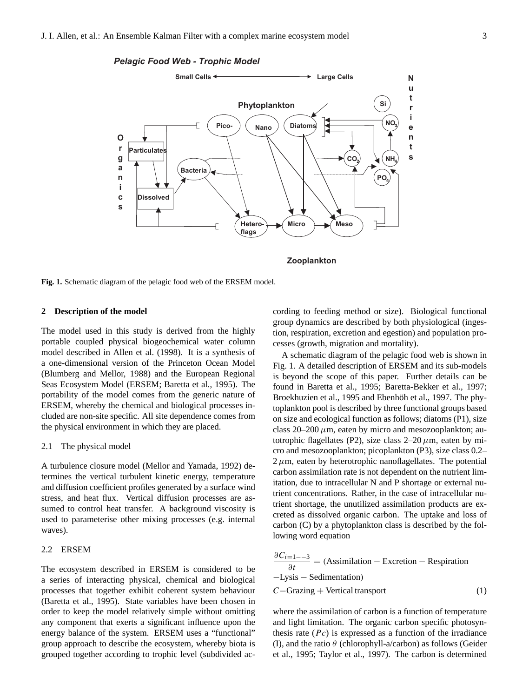## *Pelagic Food Web - Trophic Model*



**Zooplankton**

**Fig. 1.** Schematic diagram of the pelagic food web of the ERSEM model.

## **2 Description of the model**

The model used in this study is derived from the highly portable coupled physical biogeochemical water column model described in Allen et al. (1998). It is a synthesis of a one-dimensional version of the Princeton Ocean Model (Blumberg and Mellor, 1988) and the European Regional Seas Ecosystem Model (ERSEM; Baretta et al., 1995). The portability of the model comes from the generic nature of ERSEM, whereby the chemical and biological processes included are non-site specific. All site dependence comes from the physical environment in which they are placed.

## 2.1 The physical model

A turbulence closure model (Mellor and Yamada, 1992) determines the vertical turbulent kinetic energy, temperature and diffusion coefficient profiles generated by a surface wind stress, and heat flux. Vertical diffusion processes are assumed to control heat transfer. A background viscosity is used to parameterise other mixing processes (e.g. internal waves).

#### 2.2 ERSEM

The ecosystem described in ERSEM is considered to be a series of interacting physical, chemical and biological processes that together exhibit coherent system behaviour (Baretta et al., 1995). State variables have been chosen in order to keep the model relatively simple without omitting any component that exerts a significant influence upon the energy balance of the system. ERSEM uses a "functional" group approach to describe the ecosystem, whereby biota is grouped together according to trophic level (subdivided according to feeding method or size). Biological functional group dynamics are described by both physiological (ingestion, respiration, excretion and egestion) and population processes (growth, migration and mortality).

A schematic diagram of the pelagic food web is shown in Fig. 1. A detailed description of ERSEM and its sub-models is beyond the scope of this paper. Further details can be found in Baretta et al., 1995; Baretta-Bekker et al., 1997; Broekhuzien et al., 1995 and Ebenhöh et al., 1997. The phytoplankton pool is described by three functional groups based on size and ecological function as follows; diatoms (P1), size class  $20-200 \mu m$ , eaten by micro and mesozooplankton; autotrophic flagellates (P2), size class  $2-20 \mu m$ , eaten by micro and mesozooplankton; picoplankton (P3), size class 0.2–  $2 \mu$ m, eaten by heterotrophic nanoflagellates. The potential carbon assimilation rate is not dependent on the nutrient limitation, due to intracellular N and P shortage or external nutrient concentrations. Rather, in the case of intracellular nutrient shortage, the unutilized assimilation products are excreted as dissolved organic carbon. The uptake and loss of carbon (C) by a phytoplankton class is described by the following word equation

$$
\frac{\partial C_{i=1--3}}{\partial t} = \text{(Assimilation - Exercise 0 - Region function)}
$$
\n
$$
-Lysis - Sedimentation)
$$
\n
$$
C - Grazing + Vertical transport \tag{1}
$$

where the assimilation of carbon is a function of temperature and light limitation. The organic carbon specific photosynthesis rate  $(Pc)$  is expressed as a function of the irradiance (I), and the ratio  $\theta$  (chlorophyll-a/carbon) as follows (Geider et al., 1995; Taylor et al., 1997). The carbon is determined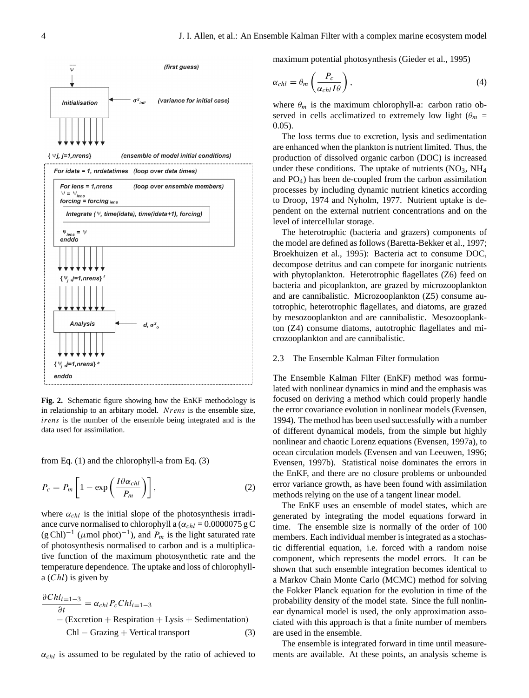

**Fig. 2.** Schematic figure showing how the EnKF methodology is in relationship to an arbitary model. Nrens is the ensemble size, irens is the number of the ensemble being integrated and is the data used for assimilation.

from Eq. (1) and the chlorophyll-a from Eq. (3)

$$
P_c = P_m \left[ 1 - \exp\left(\frac{I\theta \alpha_{chl}}{P_m}\right) \right],\tag{2}
$$

where  $\alpha_{chl}$  is the initial slope of the photosynthesis irradiance curve normalised to chlorophyll a ( $\alpha_{chl} = 0.0000075$  g C  $(g Chl)^{-1}$  ( $\mu$ mol phot)<sup>-1</sup>), and  $P_m$  is the light saturated rate of photosynthesis normalised to carbon and is a multiplicative function of the maximum photosynthetic rate and the temperature dependence. The uptake and loss of chlorophyll $a (Chl)$  is given by

$$
\frac{\partial Chl_{i=1-3}}{\partial t} = \alpha_{chl} P_c Chl_{i=1-3}
$$
  
– (Exception + Respiration + Lysis + Sedimentation)  
Chl – Grazing + Vertical transport (3)

 $\alpha_{\text{chl}}$  is assumed to be regulated by the ratio of achieved to

maximum potential photosynthesis (Gieder et al., 1995)

$$
\alpha_{chl} = \theta_m \left( \frac{P_c}{\alpha_{chl} I \theta} \right),\tag{4}
$$

where  $\theta_m$  is the maximum chlorophyll-a: carbon ratio observed in cells acclimatized to extremely low light ( $\theta_m$  = 0.05).

The loss terms due to excretion, lysis and sedimentation are enhanced when the plankton is nutrient limited. Thus, the production of dissolved organic carbon (DOC) is increased under these conditions. The uptake of nutrients  $(NO<sub>3</sub>, NH<sub>4</sub>)$ and PO4) has been de-coupled from the carbon assimilation processes by including dynamic nutrient kinetics according to Droop, 1974 and Nyholm, 1977. Nutrient uptake is dependent on the external nutrient concentrations and on the level of intercellular storage.

The heterotrophic (bacteria and grazers) components of the model are defined as follows (Baretta-Bekker et al., 1997; Broekhuizen et al., 1995): Bacteria act to consume DOC, decompose detritus and can compete for inorganic nutrients with phytoplankton. Heterotrophic flagellates (Z6) feed on bacteria and picoplankton, are grazed by microzooplankton and are cannibalistic. Microzooplankton (Z5) consume autotrophic, heterotrophic flagellates, and diatoms, are grazed by mesozooplankton and are cannibalistic. Mesozooplankton (Z4) consume diatoms, autotrophic flagellates and microzooplankton and are cannibalistic.

### 2.3 The Ensemble Kalman Filter formulation

The Ensemble Kalman Filter (EnKF) method was formulated with nonlinear dynamics in mind and the emphasis was focused on deriving a method which could properly handle the error covariance evolution in nonlinear models (Evensen, 1994). The method has been used successfully with a number of different dynamical models, from the simple but highly nonlinear and chaotic Lorenz equations (Evensen, 1997a), to ocean circulation models (Evensen and van Leeuwen, 1996; Evensen, 1997b). Statistical noise dominates the errors in the EnKF, and there are no closure problems or unbounded error variance growth, as have been found with assimilation methods relying on the use of a tangent linear model.

The EnKF uses an ensemble of model states, which are generated by integrating the model equations forward in time. The ensemble size is normally of the order of 100 members. Each individual member is integrated as a stochastic differential equation, i.e. forced with a random noise component, which represents the model errors. It can be shown that such ensemble integration becomes identical to a Markov Chain Monte Carlo (MCMC) method for solving the Fokker Planck equation for the evolution in time of the probability density of the model state. Since the full nonlinear dynamical model is used, the only approximation associated with this approach is that a finite number of members are used in the ensemble.

The ensemble is integrated forward in time until measurements are available. At these points, an analysis scheme is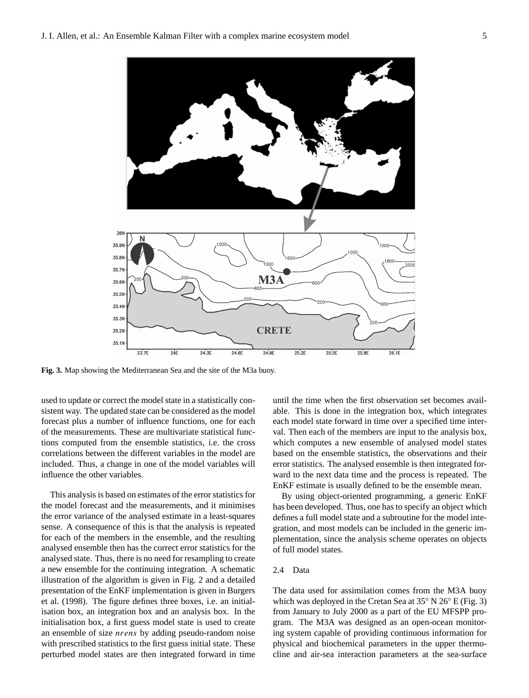

**Fig. 3.** Map showing the Mediterranean Sea and the site of the M3a buoy.

used to update or correct the model state in a statistically consistent way. The updated state can be considered as the model forecast plus a number of influence functions, one for each of the measurements. These are multivariate statistical functions computed from the ensemble statistics, i.e. the cross correlations between the different variables in the model are included. Thus, a change in one of the model variables will influence the other variables.

This analysis is based on estimates of the error statistics for the model forecast and the measurements, and it minimises the error variance of the analysed estimate in a least-squares sense. A consequence of this is that the analysis is repeated for each of the members in the ensemble, and the resulting analysed ensemble then has the correct error statistics for the analysed state. Thus, there is no need for resampling to create a new ensemble for the continuing integration. A schematic illustration of the algorithm is given in Fig. 2 and a detailed presentation of the EnKF implementation is given in Burgers et al. (1998). The figure defines three boxes, i.e. an initialisation box, an integration box and an analysis box. In the initialisation box, a first guess model state is used to create an ensemble of size nrens by adding pseudo-random noise with prescribed statistics to the first guess initial state. These perturbed model states are then integrated forward in time until the time when the first observation set becomes available. This is done in the integration box, which integrates each model state forward in time over a specified time interval. Then each of the members are input to the analysis box, which computes a new ensemble of analysed model states based on the ensemble statistics, the observations and their error statistics. The analysed ensemble is then integrated forward to the next data time and the process is repeated. The EnKF estimate is usually defined to be the ensemble mean.

By using object-oriented programming, a generic EnKF has been developed. Thus, one has to specify an object which defines a full model state and a subroutine for the model integration, and most models can be included in the generic implementation, since the analysis scheme operates on objects of full model states.

## 2.4 Data

The data used for assimilation comes from the M3A buoy which was deployed in the Cretan Sea at 35◦ N 26◦ E (Fig. 3) from January to July 2000 as a part of the EU MFSPP program. The M3A was designed as an open-ocean monitoring system capable of providing continuous information for physical and biochemical parameters in the upper thermocline and air-sea interaction parameters at the sea-surface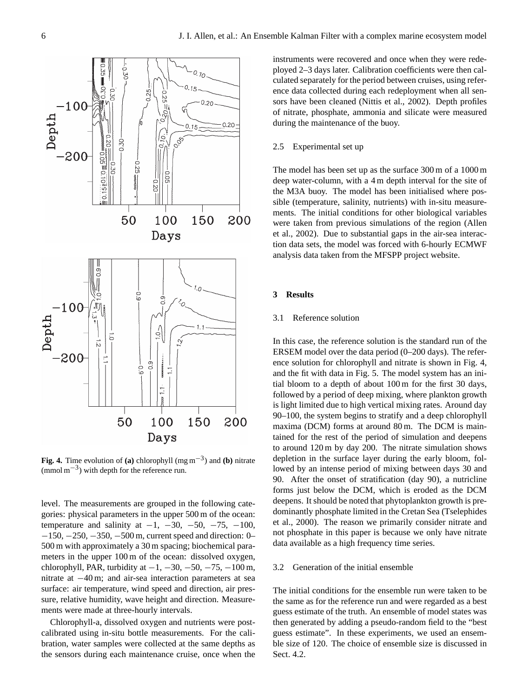

**Fig. 4.** Time evolution of **(a)** chlorophyll (mg m−<sup>3</sup> ) and **(b)** nitrate (mmol m−<sup>3</sup> ) with depth for the reference run.

level. The measurements are grouped in the following categories: physical parameters in the upper 500 m of the ocean: temperature and salinity at  $-1$ ,  $-30$ ,  $-50$ ,  $-75$ ,  $-100$ , −150, −250, −350, −500 m, current speed and direction: 0– 500 m with approximately a 30 m spacing; biochemical parameters in the upper 100 m of the ocean: dissolved oxygen, chlorophyll, PAR, turbidity at  $-1$ ,  $-30$ ,  $-50$ ,  $-75$ ,  $-100$  m, nitrate at −40 m; and air-sea interaction parameters at sea surface: air temperature, wind speed and direction, air pressure, relative humidity, wave height and direction. Measurements were made at three-hourly intervals.

Chlorophyll-a, dissolved oxygen and nutrients were postcalibrated using in-situ bottle measurements. For the calibration, water samples were collected at the same depths as the sensors during each maintenance cruise, once when the instruments were recovered and once when they were redeployed 2–3 days later. Calibration coefficients were then calculated separately for the period between cruises, using reference data collected during each redeployment when all sensors have been cleaned (Nittis et al., 2002). Depth profiles of nitrate, phosphate, ammonia and silicate were measured during the maintenance of the buoy.

## 2.5 Experimental set up

The model has been set up as the surface 300 m of a 1000 m deep water-column, with a 4 m depth interval for the site of the M3A buoy. The model has been initialised where possible (temperature, salinity, nutrients) with in-situ measurements. The initial conditions for other biological variables were taken from previous simulations of the region (Allen et al., 2002). Due to substantial gaps in the air-sea interaction data sets, the model was forced with 6-hourly ECMWF analysis data taken from the MFSPP project website.

#### **3 Results**

#### 3.1 Reference solution

In this case, the reference solution is the standard run of the ERSEM model over the data period (0–200 days). The reference solution for chlorophyll and nitrate is shown in Fig. 4, and the fit with data in Fig. 5. The model system has an initial bloom to a depth of about 100 m for the first 30 days, followed by a period of deep mixing, where plankton growth is light limited due to high vertical mixing rates. Around day 90–100, the system begins to stratify and a deep chlorophyll maxima (DCM) forms at around 80 m. The DCM is maintained for the rest of the period of simulation and deepens to around 120 m by day 200. The nitrate simulation shows depletion in the surface layer during the early bloom, followed by an intense period of mixing between days 30 and 90. After the onset of stratification (day 90), a nutricline forms just below the DCM, which is eroded as the DCM deepens. It should be noted that phytoplankton growth is predominantly phosphate limited in the Cretan Sea (Tselephides et al., 2000). The reason we primarily consider nitrate and not phosphate in this paper is because we only have nitrate data available as a high frequency time series.

### 3.2 Generation of the initial ensemble

The initial conditions for the ensemble run were taken to be the same as for the reference run and were regarded as a best guess estimate of the truth. An ensemble of model states was then generated by adding a pseudo-random field to the "best guess estimate". In these experiments, we used an ensemble size of 120. The choice of ensemble size is discussed in Sect. 4.2.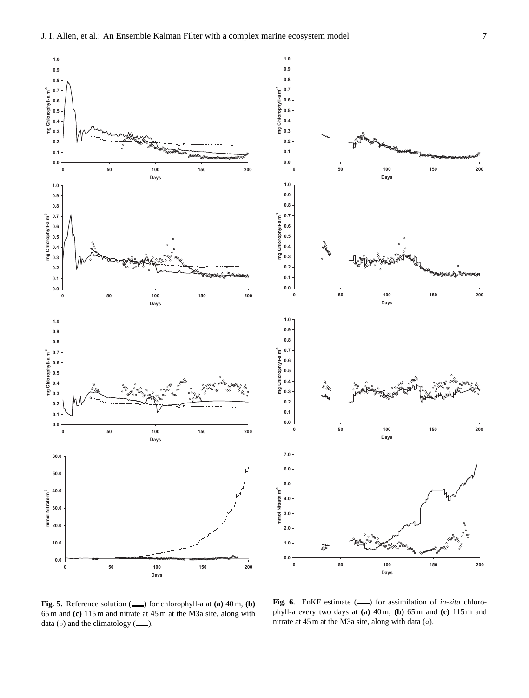



**Fig. 5.** Reference solution ( $\qquad$ ) for chlorophyll-a at (a) 40 m, (b) 65 m and **(c)** 115 m and nitrate at 45 m at the M3a site, along with data ( $\circ$ ) and the climatology ( $\_\$ ).

**Fig. 6.** EnKF estimate ( ) for assimilation of *in-situ* chlorophyll-a every two days at **(a)** 40 m, **(b)** 65 m and **(c)** 115 m and nitrate at  $45 \text{ m}$  at the M3a site, along with data ( $\circ$ ).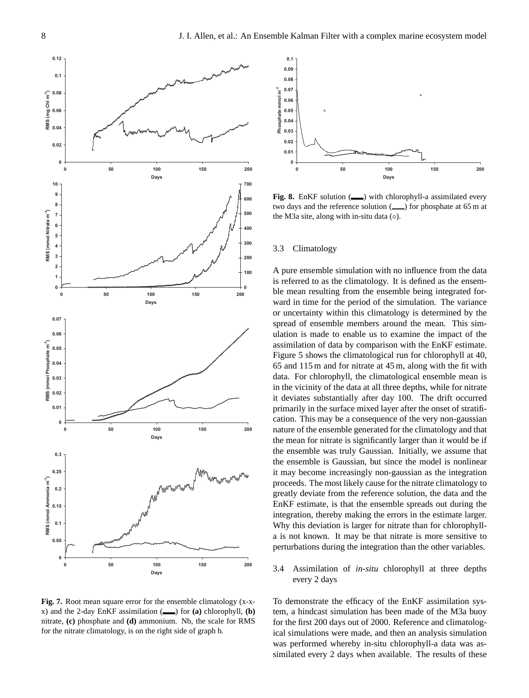

**Fig. 7.** Root mean square error for the ensemble climatology (x-xx) and the 2-day EnKF assimilation  $(\_\_\)$  for  $(\mathbf{a})$  chlorophyll,  $(\mathbf{b})$ nitrate, **(c)** phosphate and **(d)** ammonium. Nb, the scale for RMS for the nitrate climatology, is on the right side of graph b.



**Fig. 8.** EnKF solution ( $\longrightarrow$ ) with chlorophyll-a assimilated every two days and the reference solution  $($ ( $)$ ) for phosphate at 65 m at the M3a site, along with in-situ data (◦).

#### 3.3 Climatology

A pure ensemble simulation with no influence from the data is referred to as the climatology. It is defined as the ensemble mean resulting from the ensemble being integrated forward in time for the period of the simulation. The variance or uncertainty within this climatology is determined by the spread of ensemble members around the mean. This simulation is made to enable us to examine the impact of the assimilation of data by comparison with the EnKF estimate. Figure 5 shows the climatological run for chlorophyll at 40, 65 and 115 m and for nitrate at 45 m, along with the fit with data. For chlorophyll, the climatological ensemble mean is in the vicinity of the data at all three depths, while for nitrate it deviates substantially after day 100. The drift occurred primarily in the surface mixed layer after the onset of stratification. This may be a consequence of the very non-gaussian nature of the ensemble generated for the climatology and that the mean for nitrate is significantly larger than it would be if the ensemble was truly Gaussian. Initially, we assume that the ensemble is Gaussian, but since the model is nonlinear it may become increasingly non-gaussian as the integration proceeds. The most likely cause for the nitrate climatology to greatly deviate from the reference solution, the data and the EnKF estimate, is that the ensemble spreads out during the integration, thereby making the errors in the estimate larger. Why this deviation is larger for nitrate than for chlorophylla is not known. It may be that nitrate is more sensitive to perturbations during the integration than the other variables.

3.4 Assimilation of *in-situ* chlorophyll at three depths every 2 days

To demonstrate the efficacy of the EnKF assimilation system, a hindcast simulation has been made of the M3a buoy for the first 200 days out of 2000. Reference and climatological simulations were made, and then an analysis simulation was performed whereby in-situ chlorophyll-a data was assimilated every 2 days when available. The results of these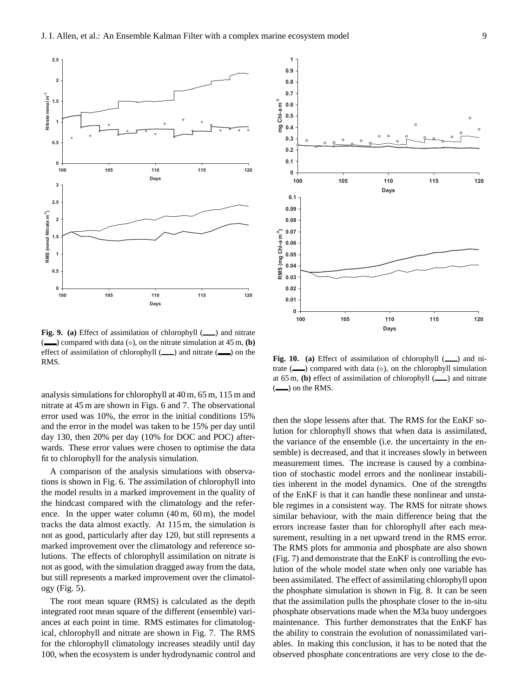

**Fig. 9. (a)** Effect of assimilation of chlorophyll ( ) and nitrate (**■**) compared with data (◦), on the nitrate simulation at 45 m, **(b)** effect of assimilation of chlorophyll  $($   $)$  and nitrate  $($   $)$  on the RMS.

analysis simulations for chlorophyll at 40 m, 65 m, 115 m and nitrate at 45 m are shown in Figs. 6 and 7. The observational error used was 10%, the error in the initial conditions 15% and the error in the model was taken to be 15% per day until day 130, then 20% per day (10% for DOC and POC) afterwards. These error values were chosen to optimise the data fit to chlorophyll for the analysis simulation.

A comparison of the analysis simulations with observations is shown in Fig. 6. The assimilation of chlorophyll into the model results in a marked improvement in the quality of the hindcast compared with the climatology and the reference. In the upper water column  $(40 \text{ m}, 60 \text{ m})$ , the model tracks the data almost exactly. At 115 m, the simulation is not as good, particularly after day 120, but still represents a marked improvement over the climatology and reference solutions. The effects of chlorophyll assimilation on nitrate is not as good, with the simulation dragged away from the data, but still represents a marked improvement over the climatology (Fig. 5).

The root mean square (RMS) is calculated as the depth integrated root mean square of the different (ensemble) variances at each point in time. RMS estimates for climatological, chlorophyll and nitrate are shown in Fig. 7. The RMS for the chlorophyll climatology increases steadily until day



**Fig. 10.** (a) Effect of assimilation of chlorophyll  $(\_\_)$  and nitrate  $($ , compared with data  $($ o $)$ , on the chlorophyll simulation at 65 m, **(b)** effect of assimilation of chlorophyll ( $\qquad$ ) and nitrate  $\left(\frac{1}{1\cdot}\right)$  on the RMS.

then the slope lessens after that. The RMS for the EnKF solution for chlorophyll shows that when data is assimilated, the variance of the ensemble (i.e. the uncertainty in the ensemble) is decreased, and that it increases slowly in between measurement times. The increase is caused by a combination of stochastic model errors and the nonlinear instabilities inherent in the model dynamics. One of the strengths of the EnKF is that it can handle these nonlinear and unstable regimes in a consistent way. The RMS for nitrate shows similar behaviour, with the main difference being that the errors increase faster than for chlorophyll after each measurement, resulting in a net upward trend in the RMS error. The RMS plots for ammonia and phosphate are also shown (Fig. 7) and demonstrate that the EnKF is controlling the evolution of the whole model state when only one variable has been assimilated. The effect of assimilating chlorophyll upon the phosphate simulation is shown in Fig. 8. It can be seen that the assimilation pulls the phosphate closer to the in-situ phosphate observations made when the M3a buoy undergoes maintenance. This further demonstrates that the EnKF has the ability to constrain the evolution of nonassimilated variables. In making this conclusion, it has to be noted that the observed phosphate concentrations are very close to the de-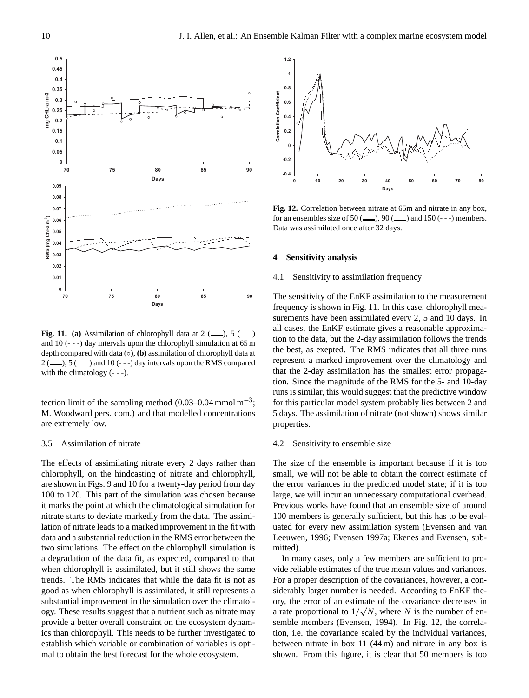

**Fig. 11.** (a) Assimilation of chlorophyll data at  $2 \, \text{(---)}$ , 5 ( and 10 (- - -) day intervals upon the chlorophyll simulation at 65 m depth compared with data (◦), **(b)** assimilation of chlorophyll data at  $2$  ( $\qquad$ ), 5 ( $\qquad$ ) and 10 (---) day intervals upon the RMS compared with the climatology  $(- - -)$ .

tection limit of the sampling method  $(0.03-0.04 \text{ mmol m}^{-3})$ ; M. Woodward pers. com.) and that modelled concentrations are extremely low.

## 3.5 Assimilation of nitrate

The effects of assimilating nitrate every 2 days rather than chlorophyll, on the hindcasting of nitrate and chlorophyll, are shown in Figs. 9 and 10 for a twenty-day period from day 100 to 120. This part of the simulation was chosen because it marks the point at which the climatological simulation for nitrate starts to deviate markedly from the data. The assimilation of nitrate leads to a marked improvement in the fit with data and a substantial reduction in the RMS error between the two simulations. The effect on the chlorophyll simulation is a degradation of the data fit, as expected, compared to that when chlorophyll is assimilated, but it still shows the same trends. The RMS indicates that while the data fit is not as good as when chlorophyll is assimilated, it still represents a substantial improvement in the simulation over the climatology. These results suggest that a nutrient such as nitrate may provide a better overall constraint on the ecosystem dynamics than chlorophyll. This needs to be further investigated to establish which variable or combination of variables is opti-**Example 19**<br> **Example 19**<br> **Example 1998**<br> **Example 1998**<br> **Example 1998**<br> **Example 1998**<br> **Example 1998**<br> **Example 1999**<br> **Example 1999**<br> **Example 10**<br> **Example 10**<br> **Example 10**<br> **Example 1999**<br> **Example 1999**<br> **Exampl** 



**Fig. 12.** Correlation between nitrate at 65m and nitrate in any box, for an ensembles size of 50 ( $\qquad$ ), 90 ( $\qquad$ ) and 150 (---) members. Data was assimilated once after 32 days.

#### **4 Sensitivity analysis**

## 4.1 Sensitivity to assimilation frequency

The sensitivity of the EnKF assimilation to the measurement frequency is shown in Fig. 11. In this case, chlorophyll measurements have been assimilated every 2, 5 and 10 days. In all cases, the EnKF estimate gives a reasonable approximation to the data, but the 2-day assimilation follows the trends the best, as exepted. The RMS indicates that all three runs represent a marked improvement over the climatology and that the 2-day assimilation has the smallest error propagation. Since the magnitude of the RMS for the 5- and 10-day runs is similar, this would suggest that the predictive window for this particular model system probably lies between 2 and 5 days. The assimilation of nitrate (not shown) shows similar properties.

#### 4.2 Sensitivity to ensemble size

The size of the ensemble is important because if it is too small, we will not be able to obtain the correct estimate of the error variances in the predicted model state; if it is too large, we will incur an unnecessary computational overhead. Previous works have found that an ensemble size of around 100 members is generally sufficient, but this has to be evaluated for every new assimilation system (Evensen and van Leeuwen, 1996; Evensen 1997a; Ekenes and Evensen, submitted).

In many cases, only a few members are sufficient to provide reliable estimates of the true mean values and variances. For a proper description of the covariances, however, a considerably larger number is needed. According to EnKF theory, the error of an estimate of the covariance decreases in a rate proportional to  $1/\sqrt{N}$ , where N is the number of ensemble members (Evensen, 1994). In Fig. 12, the correlation, i.e. the covariance scaled by the individual variances, between nitrate in box 11 (44 m) and nitrate in any box is shown. From this figure, it is clear that 50 members is too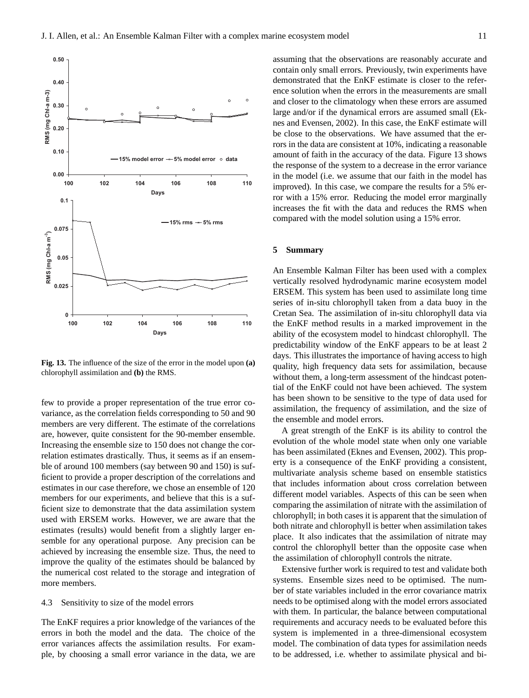

**Fig. 13.** The influence of the size of the error in the model upon **(a)** chlorophyll assimilation and **(b)** the RMS.

few to provide a proper representation of the true error covariance, as the correlation fields corresponding to 50 and 90 members are very different. The estimate of the correlations are, however, quite consistent for the 90-member ensemble. Increasing the ensemble size to 150 does not change the correlation estimates drastically. Thus, it seems as if an ensemble of around 100 members (say between 90 and 150) is sufficient to provide a proper description of the correlations and estimates in our case therefore, we chose an ensemble of 120 members for our experiments, and believe that this is a sufficient size to demonstrate that the data assimilation system used with ERSEM works. However, we are aware that the estimates (results) would benefit from a slightly larger ensemble for any operational purpose. Any precision can be achieved by increasing the ensemble size. Thus, the need to improve the quality of the estimates should be balanced by the numerical cost related to the storage and integration of more members.

## 4.3 Sensitivity to size of the model errors

The EnKF requires a prior knowledge of the variances of the errors in both the model and the data. The choice of the error variances affects the assimilation results. For example, by choosing a small error variance in the data, we are

assuming that the observations are reasonably accurate and contain only small errors. Previously, twin experiments have demonstrated that the EnKF estimate is closer to the reference solution when the errors in the measurements are small and closer to the climatology when these errors are assumed large and/or if the dynamical errors are assumed small (Eknes and Evensen, 2002). In this case, the EnKF estimate will be close to the observations. We have assumed that the errors in the data are consistent at 10%, indicating a reasonable amount of faith in the accuracy of the data. Figure 13 shows the response of the system to a decrease in the error variance in the model (i.e. we assume that our faith in the model has improved). In this case, we compare the results for a 5% error with a 15% error. Reducing the model error marginally increases the fit with the data and reduces the RMS when compared with the model solution using a 15% error.

### **5 Summary**

An Ensemble Kalman Filter has been used with a complex vertically resolved hydrodynamic marine ecosystem model ERSEM. This system has been used to assimilate long time series of in-situ chlorophyll taken from a data buoy in the Cretan Sea. The assimilation of in-situ chlorophyll data via the EnKF method results in a marked improvement in the ability of the ecosystem model to hindcast chlorophyll. The predictability window of the EnKF appears to be at least 2 days. This illustrates the importance of having access to high quality, high frequency data sets for assimilation, because without them, a long-term assessment of the hindcast potential of the EnKF could not have been achieved. The system has been shown to be sensitive to the type of data used for assimilation, the frequency of assimilation, and the size of the ensemble and model errors.

A great strength of the EnKF is its ability to control the evolution of the whole model state when only one variable has been assimilated (Eknes and Evensen, 2002). This property is a consequence of the EnKF providing a consistent, multivariate analysis scheme based on ensemble statistics that includes information about cross correlation between different model variables. Aspects of this can be seen when comparing the assimilation of nitrate with the assimilation of chlorophyll; in both cases it is apparent that the simulation of both nitrate and chlorophyll is better when assimilation takes place. It also indicates that the assimilation of nitrate may control the chlorophyll better than the opposite case when the assimilation of chlorophyll controls the nitrate.

Extensive further work is required to test and validate both systems. Ensemble sizes need to be optimised. The number of state variables included in the error covariance matrix needs to be optimised along with the model errors associated with them. In particular, the balance between computational requirements and accuracy needs to be evaluated before this system is implemented in a three-dimensional ecosystem model. The combination of data types for assimilation needs to be addressed, i.e. whether to assimilate physical and bi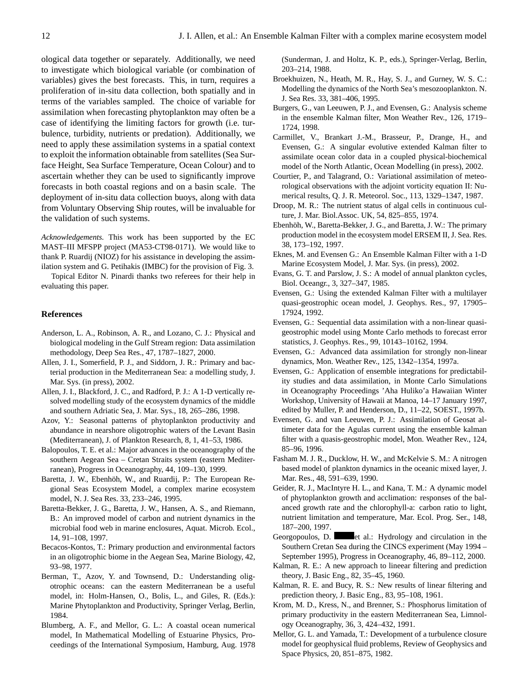ological data together or separately. Additionally, we need to investigate which biological variable (or combination of variables) gives the best forecasts. This, in turn, requires a proliferation of in-situ data collection, both spatially and in terms of the variables sampled. The choice of variable for assimilation when forecasting phytoplankton may often be a case of identifying the limiting factors for growth (i.e. turbulence, turbidity, nutrients or predation). Additionally, we need to apply these assimilation systems in a spatial context to exploit the information obtainable from satellites (Sea Surface Height, Sea Surface Temperature, Ocean Colour) and to ascertain whether they can be used to significantly improve forecasts in both coastal regions and on a basin scale. The deployment of in-situ data collection buoys, along with data from Voluntary Observing Ship routes, will be invaluable for the validation of such systems.

*Acknowledgements.* This work has been supported by the EC MAST–III MFSPP project (MA53-CT98-0171). We would like to thank P. Ruardij (NIOZ) for his assistance in developing the assimilation system and G. Petihakis (IMBC) for the provision of Fig. 3.

Topical Editor N. Pinardi thanks two referees for their help in evaluating this paper.

## **References**

- Anderson, L. A., Robinson, A. R., and Lozano, C. J.: Physical and biological modeling in the Gulf Stream region: Data assimilation methodology, Deep Sea Res., 47, 1787–1827, 2000.
- Allen, J. I., Somerfield, P. J., and Siddorn, J. R.: Primary and bacterial production in the Mediterranean Sea: a modelling study, J. Mar. Sys. (in press), 2002.
- Allen, J. I., Blackford, J. C., and Radford, P. J.: A 1-D vertically resolved modelling study of the ecosystem dynamics of the middle and southern Adriatic Sea, J. Mar. Sys., 18, 265–286, 1998.
- Azov, Y.: Seasonal patterns of phytoplankton productivity and abundance in nearshore oligotrophic waters of the Levant Basin (Mediterranean), J. of Plankton Research, 8, 1, 41–53, 1986.
- Balopoulos, T. E. et al.: Major advances in the oceanography of the southern Aegean Sea – Cretan Straits system (eastern Mediterranean), Progress in Oceanography, 44, 109–130, 1999.
- Baretta, J. W., Ebenhöh, W., and Ruardij, P.: The European Regional Seas Ecosystem Model, a complex marine ecosystem model, N. J. Sea Res. 33, 233–246, 1995.
- Baretta-Bekker, J. G., Baretta, J. W., Hansen, A. S., and Riemann, B.: An improved model of carbon and nutrient dynamics in the microbial food web in marine enclosures, Aquat. Microb. Ecol., 14, 91–108, 1997.
- Becacos-Kontos, T.: Primary production and environmental factors in an oligotrophic biome in the Aegean Sea, Marine Biology, 42, 93–98, 1977.
- Berman, T., Azov, Y. and Townsend, D.: Understanding oligotrophic oceans: can the eastern Mediterranean be a useful model, in: Holm-Hansen, O., Bolis, L., and Giles, R. (Eds.): Marine Phytoplankton and Productivity, Springer Verlag, Berlin, 1984.
- Blumberg, A. F., and Mellor, G. L.: A coastal ocean numerical model, In Mathematical Modelling of Estuarine Physics, Proceedings of the International Symposium, Hamburg, Aug. 1978

(Sunderman, J. and Holtz, K. P., eds.), Springer-Verlag, Berlin, 203–214, 1988.

- Broekhuizen, N., Heath, M. R., Hay, S. J., and Gurney, W. S. C.: Modelling the dynamics of the North Sea's mesozooplankton. N. J. Sea Res. 33, 381–406, 1995.
- Burgers, G., van Leeuwen, P. J., and Evensen, G.: Analysis scheme in the ensemble Kalman filter, Mon Weather Rev., 126, 1719– 1724, 1998.
- Carmillet, V., Brankart J.-M., Brasseur, P., Drange, H., and Evensen, G.: A singular evolutive extended Kalman filter to assimilate ocean color data in a coupled physical-biochemical model of the North Atlantic, Ocean Modelling (in press), 2002.
- Courtier, P., and Talagrand, O.: Variational assimilation of meteorological observations with the adjoint vorticity equation II: Numerical results, Q. J. R. Meteorol. Soc., 113, 1329–1347, 1987.
- Droop, M. R.: The nutrient status of algal cells in continuous culture, J. Mar. Biol.Assoc. UK, 54, 825–855, 1974.
- Ebenhöh, W., Baretta-Bekker, J. G., and Baretta, J. W.: The primary production model in the ecosystem model ERSEM II, J. Sea. Res. 38, 173–192, 1997.
- Eknes, M. and Evensen G.: An Ensemble Kalman Filter with a 1-D Marine Ecosystem Model, J. Mar. Sys. (in press), 2002.
- Evans, G. T. and Parslow, J. S.: A model of annual plankton cycles, Biol. Oceangr., 3, 327–347, 1985.
- Evensen, G.: Using the extended Kalman Filter with a multilayer quasi-geostrophic ocean model, J. Geophys. Res., 97, 17905– 17924, 1992.
- Evensen, G.: Sequential data assimilation with a non-linear quasigeostrophic model using Monte Carlo methods to forecast error statistics, J. Geophys. Res., 99, 10143–10162, 1994.
- Evensen, G.: Advanced data assimilation for strongly non-linear dynamics, Mon. Weather Rev., 125, 1342–1354, 1997a.
- Evensen, G.: Application of ensemble integrations for predictability studies and data assimilation, in Monte Carlo Simulations in Oceanography Proceedings 'Aha Huliko'a Hawaiian Winter Workshop, University of Hawaii at Manoa, 14–17 January 1997, edited by Muller, P. and Henderson, D., 11–22, SOEST., 1997b.
- Evensen, G. and van Leeuwen, P. J.: Assimilation of Geosat altimeter data for the Agulas current using the ensemble kalman filter with a quasis-geostrophic model, Mon. Weather Rev., 124, 85–96, 1996.
- Fasham M. J. R., Ducklow, H. W., and McKelvie S. M.: A nitrogen based model of plankton dynamics in the oceanic mixed layer, J. Mar. Res., 48, 591–639, 1990.
- Geider, R. J., MacIntyre H. L., and Kana, T. M.: A dynamic model of phytoplankton growth and acclimation: responses of the balanced growth rate and the chlorophyll-a: carbon ratio to light, nutrient limitation and temperature, Mar. Ecol. Prog. Ser., 148, 187–200, 1997.
- Georgopoulos, D. et al.: Hydrology and circulation in the Southern Cretan Sea during the CINCS experiment (May 1994 – September 1995), Progress in Oceanography, 46, 89–112, 2000.
- Kalman, R. E.: A new approach to lineear filtering and prediction theory, J. Basic Eng., 82, 35–45, 1960.
- Kalman, R. E. and Bucy, R. S.: New results of linear filtering and prediction theory, J. Basic Eng., 83, 95–108, 1961.
- Krom, M. D., Kress, N., and Brenner, S.: Phosphorus limitation of primary productivity in the eastern Mediterranean Sea, Limnology Oceanography, 36, 3, 424–432, 1991.
- Mellor, G. L. and Yamada, T.: Development of a turbulence closure model for geophysical fluid problems, Review of Geophysics and Space Physics, 20, 851–875, 1982.